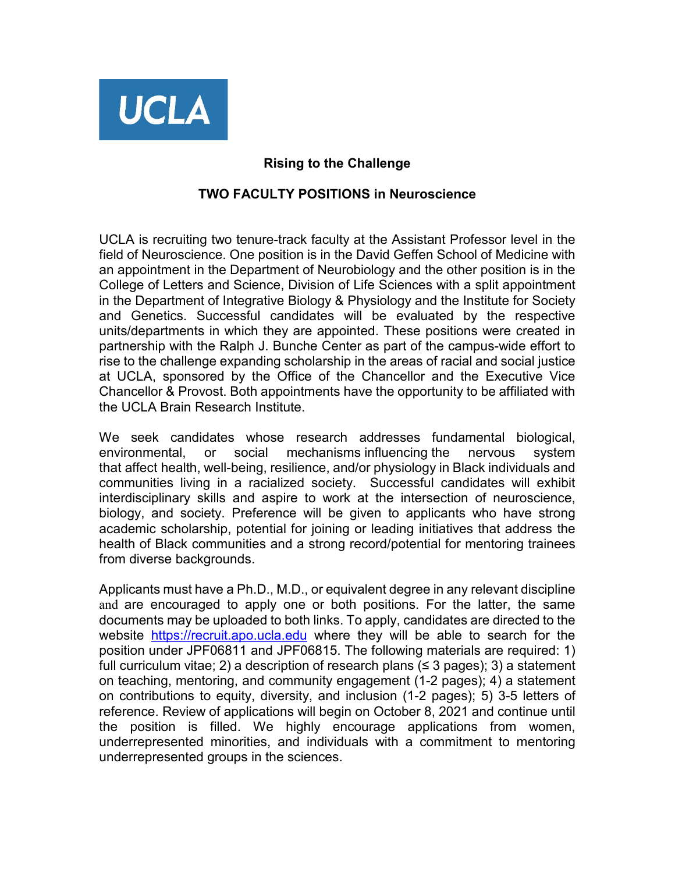

## **Rising to the Challenge**

## **TWO FACULTY POSITIONS in Neuroscience**

UCLA is recruiting two tenure-track faculty at the Assistant Professor level in the field of Neuroscience. One position is in the David Geffen School of Medicine with an appointment in the Department of Neurobiology and the other position is in the College of Letters and Science, Division of Life Sciences with a split appointment in the Department of Integrative Biology & Physiology and the Institute for Society and Genetics. Successful candidates will be evaluated by the respective units/departments in which they are appointed. These positions were created in partnership with the Ralph J. Bunche Center as part of the campus-wide effort to rise to the challenge expanding scholarship in the areas of racial and social justice at UCLA, sponsored by the Office of the Chancellor and the Executive Vice Chancellor & Provost. Both appointments have the opportunity to be affiliated with the UCLA Brain Research Institute.

We seek candidates whose research addresses fundamental biological, environmental, or social mechanisms influencing the nervous system that affect health, well-being, resilience, and/or physiology in Black individuals and communities living in a racialized society. Successful candidates will exhibit interdisciplinary skills and aspire to work at the intersection of neuroscience, biology, and society. Preference will be given to applicants who have strong academic scholarship, potential for joining or leading initiatives that address the health of Black communities and a strong record/potential for mentoring trainees from diverse backgrounds.

Applicants must have a Ph.D., M.D., or equivalent degree in any relevant discipline and are encouraged to apply one or both positions. For the latter, the same documents may be uploaded to both links. To apply, candidates are directed to the website [https://recruit.apo.ucla.edu](https://recruit.apo.ucla.edu/) where they will be able to search for the position under JPF06811 and JPF06815. The following materials are required: 1) full curriculum vitae; 2) a description of research plans ( $\leq$  3 pages); 3) a statement on teaching, mentoring, and community engagement (1-2 pages); 4) a statement on contributions to equity, diversity, and inclusion (1-2 pages); 5) 3-5 letters of reference. Review of applications will begin on October 8, 2021 and continue until the position is filled. We highly encourage applications from women, underrepresented minorities, and individuals with a commitment to mentoring underrepresented groups in the sciences.